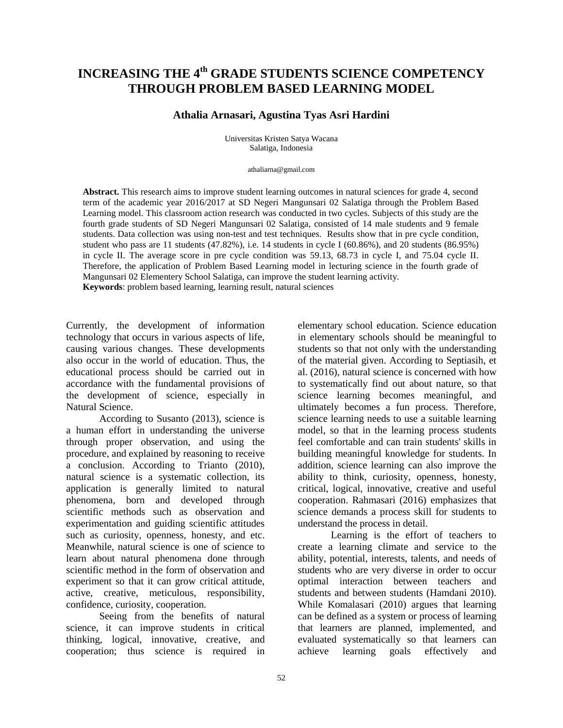# **INCREASING THE 4 th GRADE STUDENTS SCIENCE COMPETENCY THROUGH PROBLEM BASED LEARNING MODEL**

## **Athalia Arnasari, Agustina Tyas Asri Hardini**

Universitas Kristen Satya Wacana Salatiga, Indonesia

#### athaliarna@gmail.com

**Abstract.** This research aims to improve student learning outcomes in natural sciences for grade 4, second term of the academic year 2016/2017 at SD Negeri Mangunsari 02 Salatiga through the Problem Based Learning model. This classroom action research was conducted in two cycles. Subjects of this study are the fourth grade students of SD Negeri Mangunsari 02 Salatiga, consisted of 14 male students and 9 female students. Data collection was using non-test and test techniques. Results show that in pre cycle condition, student who pass are 11 students (47.82%), i.e. 14 students in cycle I (60.86%), and 20 students (86.95%) in cycle II. The average score in pre cycle condition was 59.13, 68.73 in cycle I, and 75.04 cycle II. Therefore, the application of Problem Based Learning model in lecturing science in the fourth grade of Mangunsari 02 Elementery School Salatiga, can improve the student learning activity. **Keywords**: problem based learning, learning result, natural sciences

Currently, the development of information technology that occurs in various aspects of life, causing various changes. These developments also occur in the world of education. Thus, the educational process should be carried out in accordance with the fundamental provisions of the development of science, especially in Natural Science.

According to Susanto (2013), science is a human effort in understanding the universe through proper observation, and using the procedure, and explained by reasoning to receive a conclusion. According to Trianto (2010), natural science is a systematic collection, its application is generally limited to natural phenomena, born and developed through scientific methods such as observation and experimentation and guiding scientific attitudes such as curiosity, openness, honesty, and etc. Meanwhile, natural science is one of science to learn about natural phenomena done through scientific method in the form of observation and experiment so that it can grow critical attitude, active, creative, meticulous, responsibility, confidence, curiosity, cooperation.

Seeing from the benefits of natural science, it can improve students in critical thinking, logical, innovative, creative, and cooperation; thus science is required in

elementary school education. Science education in elementary schools should be meaningful to students so that not only with the understanding of the material given. According to Septiasih, et al. (2016), natural science is concerned with how to systematically find out about nature, so that science learning becomes meaningful, and ultimately becomes a fun process. Therefore, science learning needs to use a suitable learning model, so that in the learning process students feel comfortable and can train students' skills in building meaningful knowledge for students. In addition, science learning can also improve the ability to think, curiosity, openness, honesty, critical, logical, innovative, creative and useful cooperation. Rahmasari (2016) emphasizes that science demands a process skill for students to understand the process in detail.

Learning is the effort of teachers to create a learning climate and service to the ability, potential, interests, talents, and needs of students who are very diverse in order to occur optimal interaction between teachers and students and between students (Hamdani 2010). While Komalasari (2010) argues that learning can be defined as a system or process of learning that learners are planned, implemented, and evaluated systematically so that learners can achieve learning goals effectively and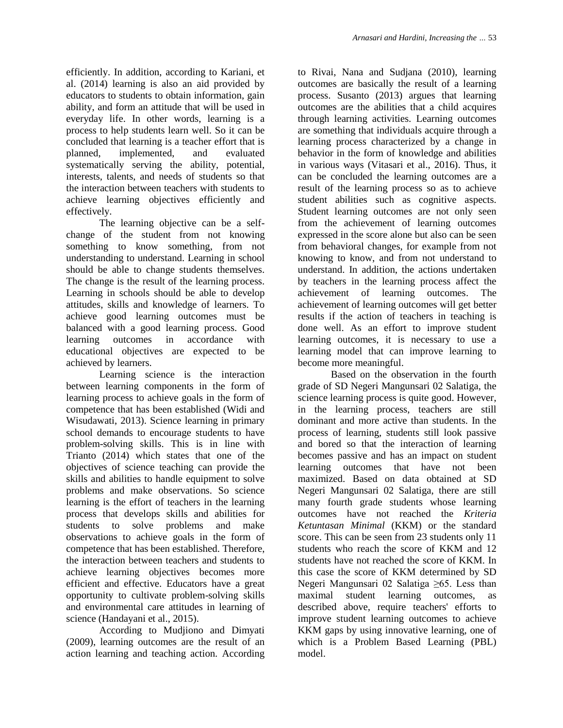efficiently. In addition, according to Kariani, et al. (2014) learning is also an aid provided by educators to students to obtain information, gain ability, and form an attitude that will be used in everyday life. In other words, learning is a process to help students learn well. So it can be concluded that learning is a teacher effort that is planned, implemented, and evaluated systematically serving the ability, potential, interests, talents, and needs of students so that the interaction between teachers with students to achieve learning objectives efficiently and effectively.

The learning objective can be a selfchange of the student from not knowing something to know something, from not understanding to understand. Learning in school should be able to change students themselves. The change is the result of the learning process. Learning in schools should be able to develop attitudes, skills and knowledge of learners. To achieve good learning outcomes must be balanced with a good learning process. Good learning outcomes in accordance with educational objectives are expected to be achieved by learners.

Learning science is the interaction between learning components in the form of learning process to achieve goals in the form of competence that has been established (Widi and Wisudawati, 2013). Science learning in primary school demands to encourage students to have problem-solving skills. This is in line with Trianto (2014) which states that one of the objectives of science teaching can provide the skills and abilities to handle equipment to solve problems and make observations. So science learning is the effort of teachers in the learning process that develops skills and abilities for students to solve problems and make observations to achieve goals in the form of competence that has been established. Therefore, the interaction between teachers and students to achieve learning objectives becomes more efficient and effective. Educators have a great opportunity to cultivate problem-solving skills and environmental care attitudes in learning of science (Handayani et al., 2015).

According to Mudjiono and Dimyati (2009), learning outcomes are the result of an action learning and teaching action. According to Rivai, Nana and Sudjana (2010), learning outcomes are basically the result of a learning process. Susanto (2013) argues that learning outcomes are the abilities that a child acquires through learning activities. Learning outcomes are something that individuals acquire through a learning process characterized by a change in behavior in the form of knowledge and abilities in various ways (Vitasari et al., 2016). Thus, it can be concluded the learning outcomes are a result of the learning process so as to achieve student abilities such as cognitive aspects. Student learning outcomes are not only seen from the achievement of learning outcomes expressed in the score alone but also can be seen from behavioral changes, for example from not knowing to know, and from not understand to understand. In addition, the actions undertaken by teachers in the learning process affect the achievement of learning outcomes. The achievement of learning outcomes will get better results if the action of teachers in teaching is done well. As an effort to improve student learning outcomes, it is necessary to use a learning model that can improve learning to become more meaningful.

Based on the observation in the fourth grade of SD Negeri Mangunsari 02 Salatiga, the science learning process is quite good. However, in the learning process, teachers are still dominant and more active than students. In the process of learning, students still look passive and bored so that the interaction of learning becomes passive and has an impact on student learning outcomes that have not been maximized. Based on data obtained at SD Negeri Mangunsari 02 Salatiga, there are still many fourth grade students whose learning outcomes have not reached the *Kriteria Ketuntasan Minimal* (KKM) or the standard score. This can be seen from 23 students only 11 students who reach the score of KKM and 12 students have not reached the score of KKM. In this case the score of KKM determined by SD Negeri Mangunsari 02 Salatiga ≥65. Less than maximal student learning outcomes, as described above, require teachers' efforts to improve student learning outcomes to achieve KKM gaps by using innovative learning, one of which is a Problem Based Learning (PBL) model.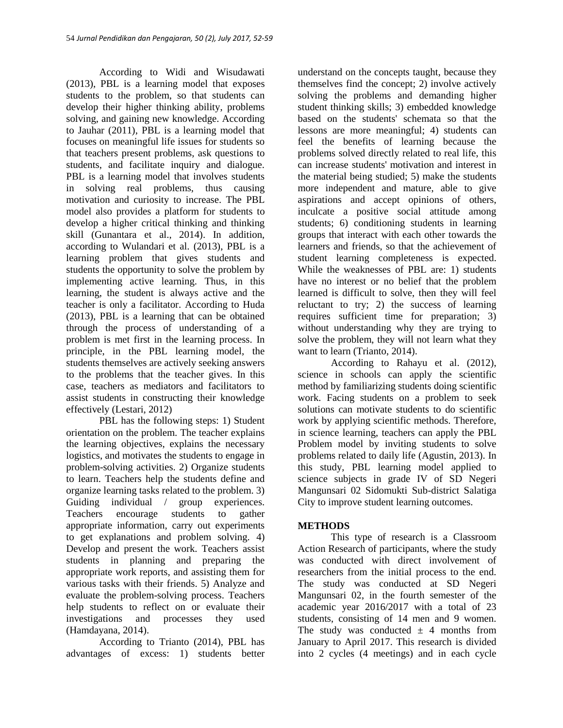According to Widi and Wisudawati (2013), PBL is a learning model that exposes students to the problem, so that students can develop their higher thinking ability, problems solving, and gaining new knowledge. According to Jauhar (2011), PBL is a learning model that focuses on meaningful life issues for students so that teachers present problems, ask questions to students, and facilitate inquiry and dialogue. PBL is a learning model that involves students in solving real problems, thus causing motivation and curiosity to increase. The PBL model also provides a platform for students to develop a higher critical thinking and thinking skill (Gunantara et al., 2014). In addition, according to Wulandari et al. (2013), PBL is a learning problem that gives students and students the opportunity to solve the problem by implementing active learning. Thus, in this learning, the student is always active and the teacher is only a facilitator. According to Huda (2013), PBL is a learning that can be obtained through the process of understanding of a problem is met first in the learning process. In principle, in the PBL learning model, the students themselves are actively seeking answers to the problems that the teacher gives. In this case, teachers as mediators and facilitators to assist students in constructing their knowledge effectively (Lestari, 2012)

PBL has the following steps: 1) Student orientation on the problem. The teacher explains the learning objectives, explains the necessary logistics, and motivates the students to engage in problem-solving activities. 2) Organize students to learn. Teachers help the students define and organize learning tasks related to the problem. 3) Guiding individual / group experiences. Teachers encourage students to gather appropriate information, carry out experiments to get explanations and problem solving. 4) Develop and present the work. Teachers assist students in planning and preparing the appropriate work reports, and assisting them for various tasks with their friends. 5) Analyze and evaluate the problem-solving process. Teachers help students to reflect on or evaluate their investigations and processes they used (Hamdayana, 2014).

According to Trianto (2014), PBL has advantages of excess: 1) students better understand on the concepts taught, because they themselves find the concept; 2) involve actively solving the problems and demanding higher student thinking skills; 3) embedded knowledge based on the students' schemata so that the lessons are more meaningful; 4) students can feel the benefits of learning because the problems solved directly related to real life, this can increase students' motivation and interest in the material being studied; 5) make the students more independent and mature, able to give aspirations and accept opinions of others, inculcate a positive social attitude among students; 6) conditioning students in learning groups that interact with each other towards the learners and friends, so that the achievement of student learning completeness is expected. While the weaknesses of PBL are: 1) students have no interest or no belief that the problem learned is difficult to solve, then they will feel reluctant to try; 2) the success of learning requires sufficient time for preparation; 3) without understanding why they are trying to solve the problem, they will not learn what they want to learn (Trianto, 2014).

According to Rahayu et al. (2012), science in schools can apply the scientific method by familiarizing students doing scientific work. Facing students on a problem to seek solutions can motivate students to do scientific work by applying scientific methods. Therefore, in science learning, teachers can apply the PBL Problem model by inviting students to solve problems related to daily life (Agustin, 2013). In this study, PBL learning model applied to science subjects in grade IV of SD Negeri Mangunsari 02 Sidomukti Sub-district Salatiga City to improve student learning outcomes.

# **METHODS**

This type of research is a Classroom Action Research of participants, where the study was conducted with direct involvement of researchers from the initial process to the end. The study was conducted at SD Negeri Mangunsari 02, in the fourth semester of the academic year 2016/2017 with a total of 23 students, consisting of 14 men and 9 women. The study was conducted  $\pm$  4 months from January to April 2017. This research is divided into 2 cycles (4 meetings) and in each cycle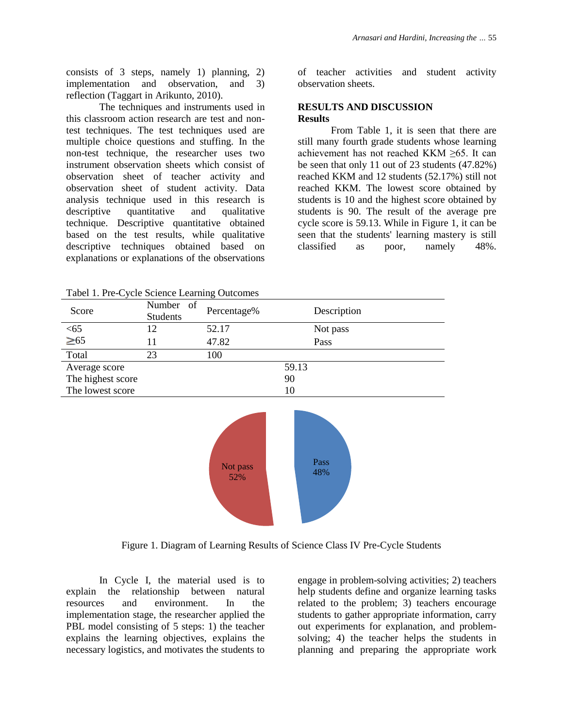consists of 3 steps, namely 1) planning, 2) implementation and observation, and 3) reflection (Taggart in Arikunto, 2010).

The techniques and instruments used in this classroom action research are test and nontest techniques. The test techniques used are multiple choice questions and stuffing. In the non-test technique, the researcher uses two instrument observation sheets which consist of observation sheet of teacher activity and observation sheet of student activity. Data analysis technique used in this research is descriptive quantitative and qualitative technique. Descriptive quantitative obtained based on the test results, while qualitative descriptive techniques obtained based on explanations or explanations of the observations of teacher activities and student activity observation sheets.

#### **RESULTS AND DISCUSSION Results**

From Table 1, it is seen that there are still many fourth grade students whose learning achievement has not reached KKM ≥65. It can be seen that only 11 out of 23 students (47.82%) reached KKM and 12 students (52.17%) still not reached KKM. The lowest score obtained by students is 10 and the highest score obtained by students is 90. The result of the average pre cycle score is 59.13. While in Figure 1, it can be seen that the students' learning mastery is still classified as poor, namely 48%.

| Score             | Number of<br>Students | Percentage%     | Description |
|-------------------|-----------------------|-----------------|-------------|
| < 65              | 12                    | 52.17           | Not pass    |
| $\geq 65$         | 11                    | 47.82           | Pass        |
| Total             | 23                    | 100             |             |
| Average score     |                       |                 | 59.13       |
| The highest score |                       |                 | 90          |
| The lowest score  |                       |                 | 10          |
|                   |                       | Not pass<br>52% | Pass<br>48% |

Tabel 1. Pre-Cycle Science Learning Outcomes

Figure 1. Diagram of Learning Results of Science Class IV Pre-Cycle Students

In Cycle I, the material used is to explain the relationship between natural resources and environment. In the implementation stage, the researcher applied the PBL model consisting of 5 steps: 1) the teacher explains the learning objectives, explains the necessary logistics, and motivates the students to engage in problem-solving activities; 2) teachers help students define and organize learning tasks related to the problem; 3) teachers encourage students to gather appropriate information, carry out experiments for explanation, and problemsolving; 4) the teacher helps the students in planning and preparing the appropriate work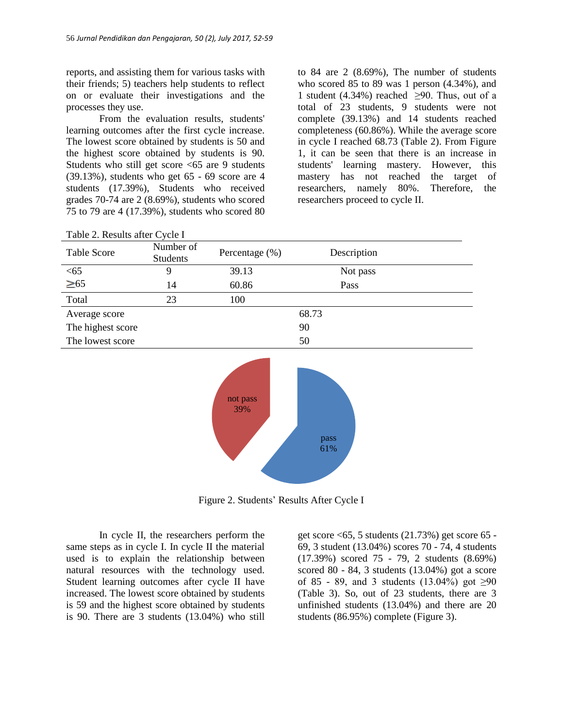reports, and assisting them for various tasks with their friends; 5) teachers help students to reflect on or evaluate their investigations and the processes they use.

From the evaluation results, students' learning outcomes after the first cycle increase. The lowest score obtained by students is 50 and the highest score obtained by students is 90. Students who still get score <65 are 9 students (39.13%), students who get 65 - 69 score are 4 students (17.39%), Students who received grades 70-74 are 2 (8.69%), students who scored 75 to 79 are 4 (17.39%), students who scored 80 to 84 are 2 (8.69%), The number of students who scored 85 to 89 was 1 person (4.34%), and 1 student (4.34%) reached  $\geq 90$ . Thus, out of a total of 23 students, 9 students were not complete (39.13%) and 14 students reached completeness (60.86%). While the average score in cycle I reached 68.73 (Table 2). From Figure 1, it can be seen that there is an increase in students' learning mastery. However, this mastery has not reached the target of researchers, namely 80%. Therefore, the researchers proceed to cycle II.

| Table 2. Results after Cycle I |                              |                 |             |  |
|--------------------------------|------------------------------|-----------------|-------------|--|
| <b>Table Score</b>             | Number of<br><b>Students</b> | Percentage (%)  | Description |  |
| $<$ 65                         | 9                            | 39.13           | Not pass    |  |
| $\geq 65$                      | 14                           | 60.86           | Pass        |  |
| Total                          | 23                           | 100             |             |  |
| Average score                  |                              |                 | 68.73       |  |
| The highest score              |                              |                 | 90          |  |
| The lowest score               |                              |                 | 50          |  |
|                                |                              | not pass<br>39% | pass<br>61% |  |

Figure 2. Students' Results After Cycle I

In cycle II, the researchers perform the same steps as in cycle I. In cycle II the material used is to explain the relationship between natural resources with the technology used. Student learning outcomes after cycle II have increased. The lowest score obtained by students is 59 and the highest score obtained by students is 90. There are 3 students (13.04%) who still

get score <65, 5 students (21.73%) get score 65 - 69, 3 student (13.04%) scores 70 - 74, 4 students (17.39%) scored 75 - 79, 2 students (8.69%) scored 80 - 84, 3 students (13.04%) got a score of 85 - 89, and 3 students (13.04%) got ≥90 (Table 3). So, out of 23 students, there are 3 unfinished students (13.04%) and there are 20 students (86.95%) complete (Figure 3).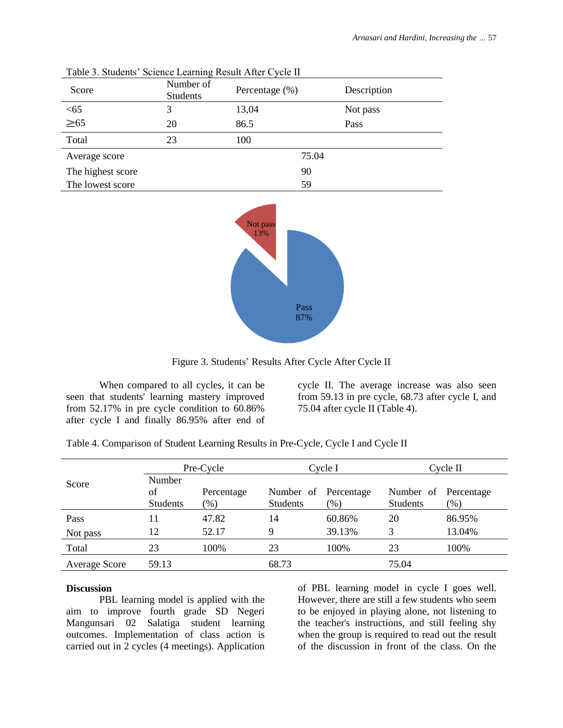| Score             | Number of<br><b>Students</b> | Percentage $(\%)$ |       | Description |
|-------------------|------------------------------|-------------------|-------|-------------|
| < 65              | 3                            | 13,04             |       | Not pass    |
| $\geq 65$         | 20                           | 86.5              |       | Pass        |
| Total             | 23                           | 100               |       |             |
| Average score     |                              |                   | 75.04 |             |
| The highest score |                              |                   | 90    |             |
| The lowest score  |                              |                   | 59    |             |

Table 3. Students' Science Learning Result After Cycle II



Figure 3. Students' Results After Cycle After Cycle II

When compared to all cycles, it can be seen that students' learning mastery improved from 52.17% in pre cycle condition to 60.86% after cycle I and finally 86.95% after end of cycle II. The average increase was also seen from 59.13 in pre cycle, 68.73 after cycle I, and 75.04 after cycle II (Table 4).

| Score                | Pre-Cycle                       |                             | Cycle I                                 |                                                        | Cycle II                     |                      |
|----------------------|---------------------------------|-----------------------------|-----------------------------------------|--------------------------------------------------------|------------------------------|----------------------|
|                      | Number<br>of<br><b>Students</b> | Percentage<br>$\frac{1}{2}$ | Number of Percentage<br><b>Students</b> | $\gamma$ <sup><math>\gamma</math></sup> <sub>0</sub> ) | Number of<br><b>Students</b> | Percentage<br>$(\%)$ |
| Pass                 |                                 | 47.82                       | 14                                      | 60.86%                                                 | 20                           | 86.95%               |
| Not pass             | 12                              | 52.17                       | 9                                       | 39.13%                                                 |                              | 13.04%               |
| Total                | 23                              | 100%                        | 23                                      | 100%                                                   | 23                           | 100%                 |
| <b>Average Score</b> | 59.13                           |                             | 68.73                                   |                                                        | 75.04                        |                      |

Table 4. Comparison of Student Learning Results in Pre-Cycle, Cycle I and Cycle II

#### **Discussion**

PBL learning model is applied with the aim to improve fourth grade SD Negeri Mangunsari 02 Salatiga student learning outcomes. Implementation of class action is carried out in 2 cycles (4 meetings). Application of PBL learning model in cycle I goes well. However, there are still a few students who seem to be enjoyed in playing alone, not listening to the teacher's instructions, and still feeling shy when the group is required to read out the result of the discussion in front of the class. On the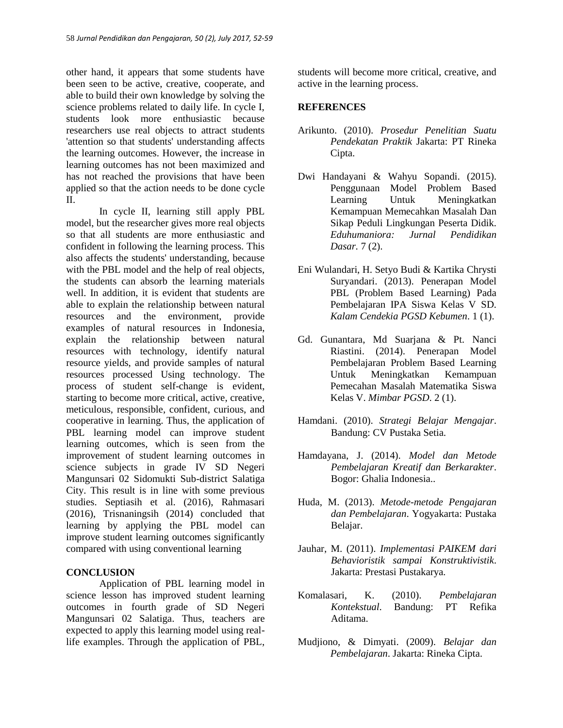other hand, it appears that some students have been seen to be active, creative, cooperate, and able to build their own knowledge by solving the science problems related to daily life. In cycle I, students look more enthusiastic because researchers use real objects to attract students 'attention so that students' understanding affects the learning outcomes. However, the increase in learning outcomes has not been maximized and has not reached the provisions that have been applied so that the action needs to be done cycle  $II$ .

In cycle II, learning still apply PBL model, but the researcher gives more real objects so that all students are more enthusiastic and confident in following the learning process. This also affects the students' understanding, because with the PBL model and the help of real objects, the students can absorb the learning materials well. In addition, it is evident that students are able to explain the relationship between natural resources and the environment, provide examples of natural resources in Indonesia, explain the relationship between natural resources with technology, identify natural resource yields, and provide samples of natural resources processed Using technology. The process of student self-change is evident, starting to become more critical, active, creative, meticulous, responsible, confident, curious, and cooperative in learning. Thus, the application of PBL learning model can improve student learning outcomes, which is seen from the improvement of student learning outcomes in science subjects in grade IV SD Negeri Mangunsari 02 Sidomukti Sub-district Salatiga City. This result is in line with some previous studies. Septiasih et al. (2016), Rahmasari (2016), Trisnaningsih (2014) concluded that learning by applying the PBL model can improve student learning outcomes significantly compared with using conventional learning

### **CONCLUSION**

Application of PBL learning model in science lesson has improved student learning outcomes in fourth grade of SD Negeri Mangunsari 02 Salatiga. Thus, teachers are expected to apply this learning model using reallife examples. Through the application of PBL,

students will become more critical, creative, and active in the learning process.

# **REFERENCES**

- Arikunto. (2010). *Prosedur Penelitian Suatu Pendekatan Praktik* Jakarta: PT Rineka Cipta.
- Dwi Handayani & Wahyu Sopandi. (2015). Penggunaan Model Problem Based Learning Untuk Meningkatkan Kemampuan Memecahkan Masalah Dan Sikap Peduli Lingkungan Peserta Didik. *Eduhumaniora: Jurnal Pendidikan Dasar.* 7 (2).
- Eni Wulandari, H. Setyo Budi & Kartika Chrysti Suryandari. (2013). Penerapan Model PBL (Problem Based Learning) Pada Pembelajaran IPA Siswa Kelas V SD. *Kalam Cendekia PGSD Kebumen*. 1 (1).
- Gd. Gunantara, Md Suarjana & Pt. Nanci Riastini. (2014). Penerapan Model Pembelajaran Problem Based Learning Untuk Meningkatkan Kemampuan Pemecahan Masalah Matematika Siswa Kelas V. *Mimbar PGSD*. 2 (1).
- Hamdani. (2010). *Strategi Belajar Mengajar*. Bandung: CV Pustaka Setia.
- Hamdayana, J. (2014). *Model dan Metode Pembelajaran Kreatif dan Berkarakter*. Bogor: Ghalia Indonesia..
- Huda, M. (2013). *Metode-metode Pengajaran dan Pembelajaran*. Yogyakarta: Pustaka Belajar.
- Jauhar, M. (2011). *Implementasi PAIKEM dari Behavioristik sampai Konstruktivistik*. Jakarta: Prestasi Pustakarya.
- Komalasari, K. (2010). *Pembelajaran Kontekstual*. Bandung: PT Refika Aditama.
- Mudjiono, & Dimyati. (2009). *Belajar dan Pembelajaran*. Jakarta: Rineka Cipta.